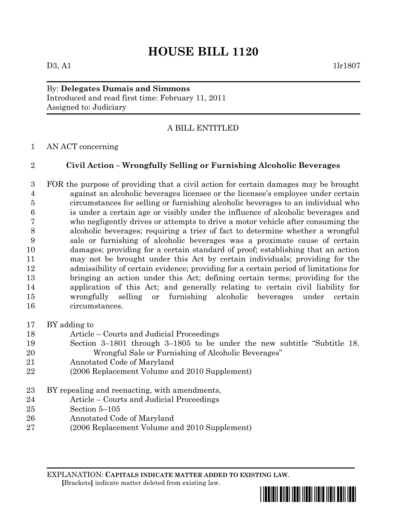## **HOUSE BILL 1120**

## By: **Delegates Dumais and Simmons** Introduced and read first time: February 11, 2011 Assigned to: Judiciary

## A BILL ENTITLED

AN ACT concerning

## **Civil Action – Wrongfully Selling or Furnishing Alcoholic Beverages**

 FOR the purpose of providing that a civil action for certain damages may be brought against an alcoholic beverages licensee or the licensee's employee under certain circumstances for selling or furnishing alcoholic beverages to an individual who is under a certain age or visibly under the influence of alcoholic beverages and who negligently drives or attempts to drive a motor vehicle after consuming the alcoholic beverages; requiring a trier of fact to determine whether a wrongful sale or furnishing of alcoholic beverages was a proximate cause of certain damages; providing for a certain standard of proof; establishing that an action may not be brought under this Act by certain individuals; providing for the admissibility of certain evidence; providing for a certain period of limitations for bringing an action under this Act; defining certain terms; providing for the application of this Act; and generally relating to certain civil liability for wrongfully selling or furnishing alcoholic beverages under certain circumstances.

- BY adding to
- Article Courts and Judicial Proceedings
- Section 3–1801 through 3–1805 to be under the new subtitle "Subtitle 18. Wrongful Sale or Furnishing of Alcoholic Beverages"
- Annotated Code of Maryland
- (2006 Replacement Volume and 2010 Supplement)
- BY repealing and reenacting, with amendments,
- Article Courts and Judicial Proceedings
- Section 5–105
- Annotated Code of Maryland
- (2006 Replacement Volume and 2010 Supplement)

EXPLANATION: **CAPITALS INDICATE MATTER ADDED TO EXISTING LAW**.  **[**Brackets**]** indicate matter deleted from existing law.

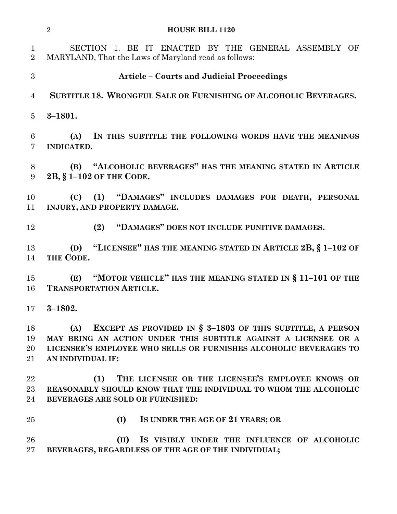|                                | $\sqrt{2}$<br><b>HOUSE BILL 1120</b>                                                                                                                                                                                          |
|--------------------------------|-------------------------------------------------------------------------------------------------------------------------------------------------------------------------------------------------------------------------------|
| $\mathbf{1}$<br>$\overline{2}$ | SECTION 1. BE IT ENACTED BY THE GENERAL ASSEMBLY OF<br>MARYLAND, That the Laws of Maryland read as follows:                                                                                                                   |
| 3                              | <b>Article – Courts and Judicial Proceedings</b>                                                                                                                                                                              |
| $\overline{4}$                 | SUBTITLE 18. WRONGFUL SALE OR FURNISHING OF ALCOHOLIC BEVERAGES.                                                                                                                                                              |
| $\overline{5}$                 | $3 - 1801.$                                                                                                                                                                                                                   |
| 6<br>$\overline{7}$            | IN THIS SUBTITLE THE FOLLOWING WORDS HAVE THE MEANINGS<br>(A)<br>INDICATED.                                                                                                                                                   |
| 8<br>9                         | (B) "ALCOHOLIC BEVERAGES" HAS THE MEANING STATED IN ARTICLE<br>2B, § 1-102 OF THE CODE.                                                                                                                                       |
| 10<br>11                       | (1) "DAMAGES" INCLUDES DAMAGES FOR DEATH, PERSONAL<br>(C)<br>INJURY, AND PROPERTY DAMAGE.                                                                                                                                     |
| 12                             | "DAMAGES" DOES NOT INCLUDE PUNITIVE DAMAGES.<br>(2)                                                                                                                                                                           |
| 13<br>14                       | "LICENSEE" HAS THE MEANING STATED IN ARTICLE 2B, $\S$ 1-102 OF<br>(D)<br>THE CODE.                                                                                                                                            |
| 15<br>16                       | "MOTOR VEHICLE" HAS THE MEANING STATED IN § 11-101 OF THE<br>(E)<br><b>TRANSPORTATION ARTICLE.</b>                                                                                                                            |
| 17                             | $3 - 1802.$                                                                                                                                                                                                                   |
| 18<br>19<br>20<br>21           | EXCEPT AS PROVIDED IN § 3-1803 OF THIS SUBTITLE, A PERSON<br>(A)<br>MAY BRING AN ACTION UNDER THIS SUBTITLE AGAINST A LICENSEE OR A<br>LICENSEE'S EMPLOYEE WHO SELLS OR FURNISHES ALCOHOLIC BEVERAGES TO<br>AN INDIVIDUAL IF: |
| 22<br>23<br>24                 | THE LICENSEE OR THE LICENSEE'S EMPLOYEE KNOWS OR<br>(1)<br>REASONABLY SHOULD KNOW THAT THE INDIVIDUAL TO WHOM THE ALCOHOLIC<br>BEVERAGES ARE SOLD OR FURNISHED:                                                               |
| 25                             | (I)<br>IS UNDER THE AGE OF 21 YEARS; OR                                                                                                                                                                                       |
| 26<br>27                       | (II)<br>IS VISIBLY UNDER THE INFLUENCE OF ALCOHOLIC<br>BEVERAGES, REGARDLESS OF THE AGE OF THE INDIVIDUAL;                                                                                                                    |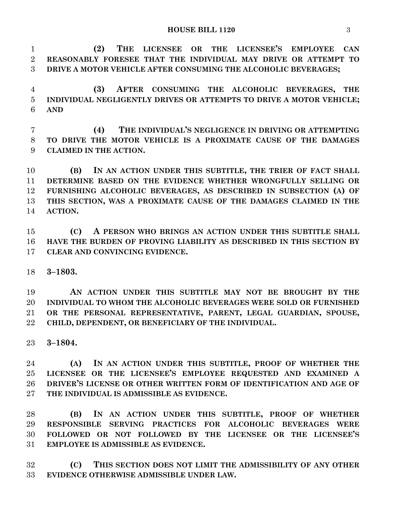**(2) THE LICENSEE OR THE LICENSEE'S EMPLOYEE CAN REASONABLY FORESEE THAT THE INDIVIDUAL MAY DRIVE OR ATTEMPT TO DRIVE A MOTOR VEHICLE AFTER CONSUMING THE ALCOHOLIC BEVERAGES;**

 **(3) AFTER CONSUMING THE ALCOHOLIC BEVERAGES, THE INDIVIDUAL NEGLIGENTLY DRIVES OR ATTEMPTS TO DRIVE A MOTOR VEHICLE; AND**

 **(4) THE INDIVIDUAL'S NEGLIGENCE IN DRIVING OR ATTEMPTING TO DRIVE THE MOTOR VEHICLE IS A PROXIMATE CAUSE OF THE DAMAGES CLAIMED IN THE ACTION.**

 **(B) IN AN ACTION UNDER THIS SUBTITLE, THE TRIER OF FACT SHALL DETERMINE BASED ON THE EVIDENCE WHETHER WRONGFULLY SELLING OR FURNISHING ALCOHOLIC BEVERAGES, AS DESCRIBED IN SUBSECTION (A) OF THIS SECTION, WAS A PROXIMATE CAUSE OF THE DAMAGES CLAIMED IN THE ACTION.**

 **(C) A PERSON WHO BRINGS AN ACTION UNDER THIS SUBTITLE SHALL HAVE THE BURDEN OF PROVING LIABILITY AS DESCRIBED IN THIS SECTION BY CLEAR AND CONVINCING EVIDENCE.**

**3–1803.**

 **AN ACTION UNDER THIS SUBTITLE MAY NOT BE BROUGHT BY THE INDIVIDUAL TO WHOM THE ALCOHOLIC BEVERAGES WERE SOLD OR FURNISHED OR THE PERSONAL REPRESENTATIVE, PARENT, LEGAL GUARDIAN, SPOUSE, CHILD, DEPENDENT, OR BENEFICIARY OF THE INDIVIDUAL.**

**3–1804.**

 **(A) IN AN ACTION UNDER THIS SUBTITLE, PROOF OF WHETHER THE LICENSEE OR THE LICENSEE'S EMPLOYEE REQUESTED AND EXAMINED A DRIVER'S LICENSE OR OTHER WRITTEN FORM OF IDENTIFICATION AND AGE OF THE INDIVIDUAL IS ADMISSIBLE AS EVIDENCE.**

 **(B) IN AN ACTION UNDER THIS SUBTITLE, PROOF OF WHETHER RESPONSIBLE SERVING PRACTICES FOR ALCOHOLIC BEVERAGES WERE FOLLOWED OR NOT FOLLOWED BY THE LICENSEE OR THE LICENSEE'S EMPLOYEE IS ADMISSIBLE AS EVIDENCE.**

 **(C) THIS SECTION DOES NOT LIMIT THE ADMISSIBILITY OF ANY OTHER EVIDENCE OTHERWISE ADMISSIBLE UNDER LAW.**